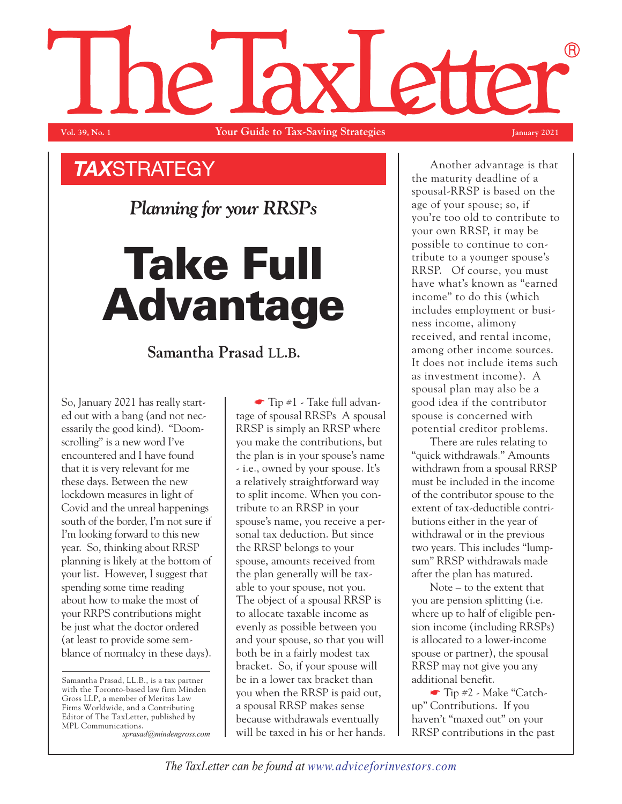## (R) NP. **Vol. 39, No. 1 Your Guide to Tax-Saving Strategies January 2021**

*TAX*STRATEGY

*Planning for your RRSPs*

## **Take Full Advantage**

## **Samantha Prasad LL.B.**

So, January 2021 has really started out with a bang (and not necessarily the good kind). "Doomscrolling" is a new word I've encountered and I have found that it is very relevant for me these days. Between the new lockdown measures in light of Covid and the unreal happenings south of the border, I'm not sure if I'm looking forward to this new year. So, thinking about RRSP planning is likely at the bottom of your list. However, I suggest that spending some time reading about how to make the most of your RRPS contributions might be just what the doctor ordered (at least to provide some semblance of normalcy in these days).

Samantha Prasad, LL.B., is a tax partner with the Toronto-based law firm Minden Gross LLP, a member of Meritas Law Firms Worldwide, and a Contributing Editor of The TaxLetter, published by MPL Communications.

*sprasad@mindengross.com*

 $\blacksquare$  Tip #1 - Take full advantage of spousal RRSPs A spousal RRSP is simply an RRSP where you make the contributions, but the plan is in your spouse's name - i.e., owned by your spouse. It's a relatively straightforward way to split income. When you contribute to an RRSP in your spouse's name, you receive a personal tax deduction. But since the RRSP belongs to your spouse, amounts received from the plan generally will be taxable to your spouse, not you. The object of a spousal RRSP is to allocate taxable income as evenly as possible between you and your spouse, so that you will both be in a fairly modest tax bracket. So, if your spouse will be in a lower tax bracket than you when the RRSP is paid out, a spousal RRSP makes sense because withdrawals eventually will be taxed in his or her hands.

Another advantage is that the maturity deadline of a spousal-RRSP is based on the age of your spouse; so, if you're too old to contribute to your own RRSP, it may be possible to continue to contribute to a younger spouse's RRSP. Of course, you must have what's known as "earned income" to do this (which includes employment or business income, alimony received, and rental income, among other income sources. It does not include items such as investment income). A spousal plan may also be a good idea if the contributor spouse is concerned with potential creditor problems.

There are rules relating to "quick withdrawals." Amounts withdrawn from a spousal RRSP must be included in the income of the contributor spouse to the extent of tax-deductible contributions either in the year of withdrawal or in the previous two years. This includes "lumpsum" RRSP withdrawals made after the plan has matured.

Note – to the extent that you are pension splitting (i.e. where up to half of eligible pension income (including RRSPs) is allocated to a lower-income spouse or partner), the spousal RRSP may not give you any additional benefit.

☛ Tip #2 - Make "Catchup" Contributions. If you haven't "maxed out" on your RRSP contributions in the past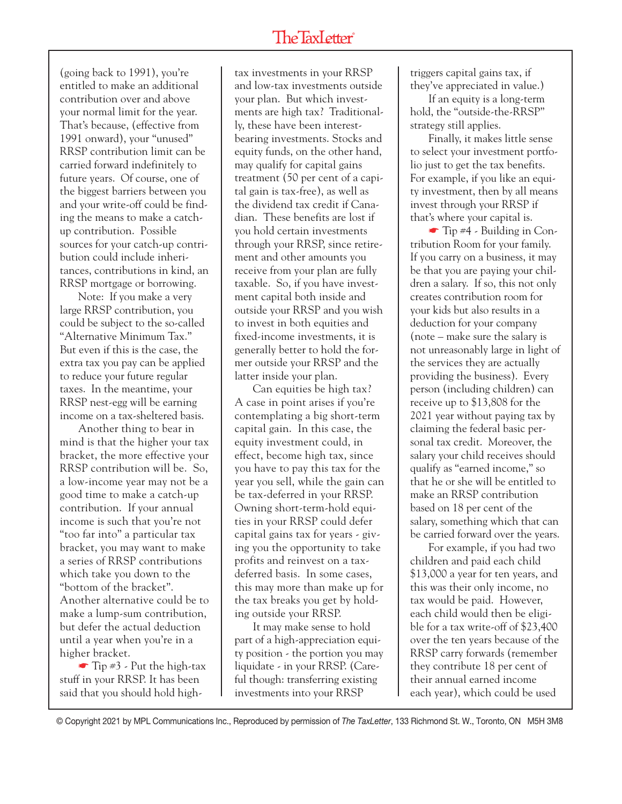(going back to 1991), you're entitled to make an additional contribution over and above your normal limit for the year. That's because, (effective from 1991 onward), your "unused" RRSP contribution limit can be carried forward indefinitely to future years. Of course, one of the biggest barriers between you and your write-off could be finding the means to make a catchup contribution. Possible sources for your catch-up contribution could include inheritances, contributions in kind, an RRSP mortgage or borrowing.

Note: If you make a very large RRSP contribution, you could be subject to the so-called "Alternative Minimum Tax." But even if this is the case, the extra tax you pay can be applied to reduce your future regular taxes. In the meantime, your RRSP nest-egg will be earning income on a tax-sheltered basis.

Another thing to bear in mind is that the higher your tax bracket, the more effective your RRSP contribution will be. So, a low-income year may not be a good time to make a catch-up contribution. If your annual income is such that you're not "too far into" a particular tax bracket, you may want to make a series of RRSP contributions which take you down to the "bottom of the bracket". Another alternative could be to make a lump-sum contribution, but defer the actual deduction until a year when you're in a higher bracket.

 $\blacksquare$  Tip #3 - Put the high-tax stuff in your RRSP. It has been said that you should hold hightax investments in your RRSP and low-tax investments outside your plan. But which investments are high tax? Traditionally, these have been interestbearing investments. Stocks and equity funds, on the other hand, may qualify for capital gains treatment (50 per cent of a capital gain is tax-free), as well as the dividend tax credit if Canadian. These benefits are lost if you hold certain investments through your RRSP, since retirement and other amounts you receive from your plan are fully taxable. So, if you have investment capital both inside and outside your RRSP and you wish to invest in both equities and fixed-income investments, it is generally better to hold the former outside your RRSP and the latter inside your plan.

Can equities be high tax? A case in point arises if you're contemplating a big short-term capital gain. In this case, the equity investment could, in effect, become high tax, since you have to pay this tax for the year you sell, while the gain can be tax-deferred in your RRSP. Owning short-term-hold equities in your RRSP could defer capital gains tax for years - giving you the opportunity to take profits and reinvest on a taxdeferred basis. In some cases, this may more than make up for the tax breaks you get by holding outside your RRSP.

It may make sense to hold part of a high-appreciation equity position - the portion you may liquidate - in your RRSP. (Careful though: transferring existing investments into your RRSP

triggers capital gains tax, if they've appreciated in value.)

If an equity is a long-term hold, the "outside-the-RRSP" strategy still applies.

Finally, it makes little sense to select your investment portfolio just to get the tax benefits. For example, if you like an equity investment, then by all means invest through your RRSP if that's where your capital is.

 $\blacksquare$  Tip #4 - Building in Contribution Room for your family. If you carry on a business, it may be that you are paying your children a salary. If so, this not only creates contribution room for your kids but also results in a deduction for your company (note – make sure the salary is not unreasonably large in light of the services they are actually providing the business). Every person (including children) can receive up to \$13,808 for the 2021 year without paying tax by claiming the federal basic personal tax credit. Moreover, the salary your child receives should qualify as "earned income," so that he or she will be entitled to make an RRSP contribution based on 18 per cent of the salary, something which that can be carried forward over the years.

For example, if you had two children and paid each child \$13,000 a year for ten years, and this was their only income, no tax would be paid. However, each child would then be eligible for a tax write-off of \$23,400 over the ten years because of the RRSP carry forwards (remember they contribute 18 per cent of their annual earned income each year), which could be used

© Copyright 2021 by MPL Communications Inc., Reproduced by permission of *The TaxLetter*, 133 Richmond St. W., Toronto, ON M5H 3M8